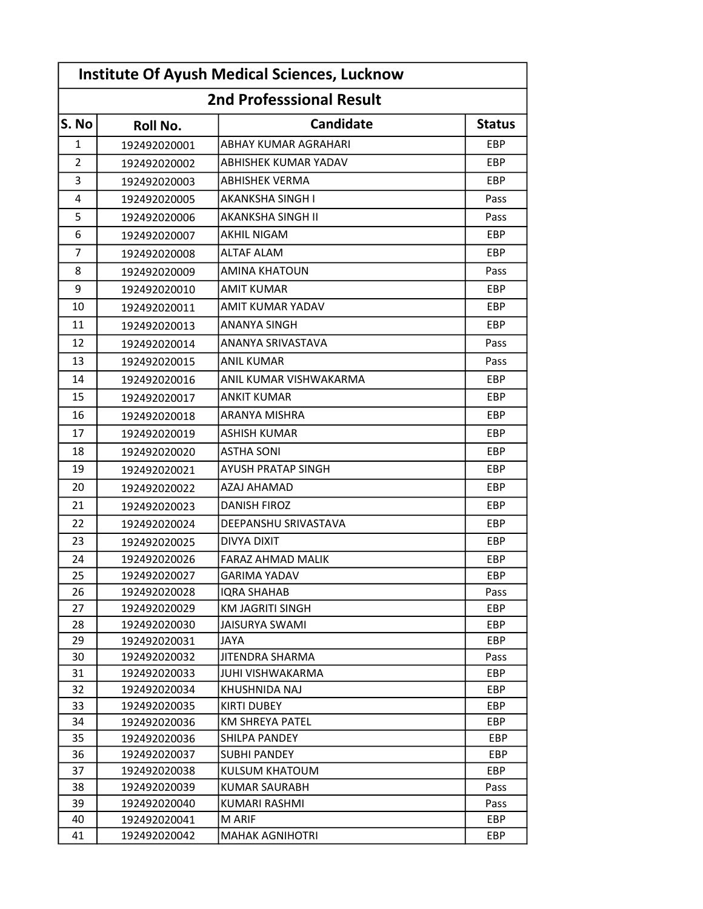| <b>Institute Of Ayush Medical Sciences, Lucknow</b><br><b>2nd Professsional Result</b> |                              |                                       |                   |  |  |  |
|----------------------------------------------------------------------------------------|------------------------------|---------------------------------------|-------------------|--|--|--|
|                                                                                        |                              |                                       |                   |  |  |  |
| 1                                                                                      | 192492020001                 | ABHAY KUMAR AGRAHARI                  | EBP               |  |  |  |
| $\overline{2}$                                                                         | 192492020002                 | ABHISHEK KUMAR YADAV                  | EBP               |  |  |  |
| 3                                                                                      | 192492020003                 | <b>ABHISHEK VERMA</b>                 | EBP               |  |  |  |
| 4                                                                                      | 192492020005                 | <b>AKANKSHA SINGH I</b>               | Pass              |  |  |  |
| 5                                                                                      | 192492020006                 | AKANKSHA SINGH II                     | Pass              |  |  |  |
| 6                                                                                      | 192492020007                 | AKHIL NIGAM                           | <b>EBP</b>        |  |  |  |
| 7                                                                                      | 192492020008                 | <b>ALTAF ALAM</b>                     | <b>EBP</b>        |  |  |  |
| 8                                                                                      | 192492020009                 | <b>AMINA KHATOUN</b>                  | Pass              |  |  |  |
| 9                                                                                      | 192492020010                 | <b>AMIT KUMAR</b>                     | EBP               |  |  |  |
| 10                                                                                     | 192492020011                 | AMIT KUMAR YADAV                      | EBP               |  |  |  |
| 11                                                                                     | 192492020013                 | ANANYA SINGH                          | <b>EBP</b>        |  |  |  |
| 12                                                                                     | 192492020014                 | ANANYA SRIVASTAVA                     | Pass              |  |  |  |
| 13                                                                                     | 192492020015                 | <b>ANIL KUMAR</b>                     | Pass              |  |  |  |
| 14                                                                                     | 192492020016                 | ANIL KUMAR VISHWAKARMA                | <b>EBP</b>        |  |  |  |
| 15                                                                                     | 192492020017                 | <b>ANKIT KUMAR</b>                    | <b>EBP</b>        |  |  |  |
| 16                                                                                     | 192492020018                 | ARANYA MISHRA                         | EBP               |  |  |  |
| 17                                                                                     | 192492020019                 | <b>ASHISH KUMAR</b>                   | <b>EBP</b>        |  |  |  |
| 18                                                                                     | 192492020020                 | <b>ASTHA SONI</b>                     | EBP               |  |  |  |
| 19                                                                                     | 192492020021                 | AYUSH PRATAP SINGH                    | EBP               |  |  |  |
| 20                                                                                     | 192492020022                 | AZAJ AHAMAD                           | <b>EBP</b>        |  |  |  |
| 21                                                                                     | 192492020023                 | <b>DANISH FIROZ</b>                   | <b>EBP</b>        |  |  |  |
| 22                                                                                     | 192492020024                 | DEEPANSHU SRIVASTAVA                  | EBP               |  |  |  |
| 23                                                                                     | 192492020025                 | <b>DIVYA DIXIT</b>                    | EBP               |  |  |  |
| 24                                                                                     | 192492020026                 | <b>FARAZ AHMAD MALIK</b>              | <b>EBP</b>        |  |  |  |
| 25                                                                                     | 192492020027                 | <b>GARIMA YADAV</b>                   | EBP               |  |  |  |
| 26                                                                                     | 192492020028                 | IQRA SHAHAB                           | Pass              |  |  |  |
| 27                                                                                     | 192492020029                 | KM JAGRITI SINGH                      | <b>EBP</b>        |  |  |  |
| 28                                                                                     | 192492020030                 | <b>JAISURYA SWAMI</b>                 | EBP               |  |  |  |
| 29                                                                                     | 192492020031                 | JAYA                                  | EBP               |  |  |  |
| 30                                                                                     | 192492020032                 | JITENDRA SHARMA                       | Pass              |  |  |  |
| 31                                                                                     | 192492020033                 | <b>JUHI VISHWAKARMA</b>               | <b>EBP</b>        |  |  |  |
| 32                                                                                     | 192492020034                 | KHUSHNIDA NAJ                         | EBP               |  |  |  |
| 33                                                                                     | 192492020035                 | <b>KIRTI DUBEY</b>                    | EBP               |  |  |  |
| 34                                                                                     | 192492020036                 | KM SHREYA PATEL                       | EBP               |  |  |  |
| 35                                                                                     | 192492020036                 | SHILPA PANDEY                         | EBP               |  |  |  |
| 36<br>37                                                                               | 192492020037<br>192492020038 | <b>SUBHI PANDEY</b><br>KULSUM KHATOUM | EBP<br><b>EBP</b> |  |  |  |
| 38                                                                                     | 192492020039                 | <b>KUMAR SAURABH</b>                  | Pass              |  |  |  |
| 39                                                                                     | 192492020040                 | <b>KUMARI RASHMI</b>                  | Pass              |  |  |  |
| 40                                                                                     | 192492020041                 | M ARIF                                | EBP               |  |  |  |
| 41                                                                                     | 192492020042                 | <b>MAHAK AGNIHOTRI</b>                | EBP               |  |  |  |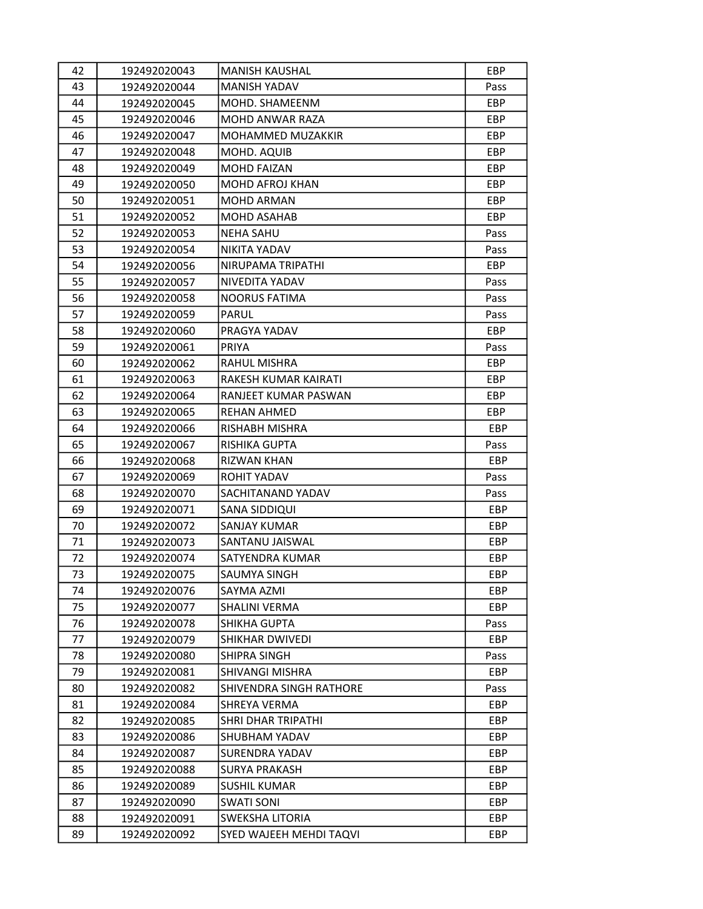| 42 | 192492020043 | <b>MANISH KAUSHAL</b>   | EBP        |
|----|--------------|-------------------------|------------|
| 43 | 192492020044 | <b>MANISH YADAV</b>     | Pass       |
| 44 | 192492020045 | MOHD. SHAMEENM          | EBP        |
| 45 | 192492020046 | MOHD ANWAR RAZA         | EBP.       |
| 46 | 192492020047 | MOHAMMED MUZAKKIR       | EBP        |
| 47 | 192492020048 | MOHD. AQUIB             | EBP.       |
| 48 | 192492020049 | <b>MOHD FAIZAN</b>      | EBP        |
| 49 | 192492020050 | MOHD AFROJ KHAN         | <b>EBP</b> |
| 50 | 192492020051 | <b>MOHD ARMAN</b>       | EBP        |
| 51 | 192492020052 | <b>MOHD ASAHAB</b>      | EBP        |
| 52 | 192492020053 | <b>NEHA SAHU</b>        | Pass       |
| 53 | 192492020054 | NIKITA YADAV            | Pass       |
| 54 | 192492020056 | NIRUPAMA TRIPATHI       | EBP        |
| 55 | 192492020057 | NIVEDITA YADAV          | Pass       |
| 56 | 192492020058 | NOORUS FATIMA           | Pass       |
| 57 | 192492020059 | <b>PARUL</b>            | Pass       |
| 58 | 192492020060 | PRAGYA YADAV            | EBP.       |
| 59 | 192492020061 | PRIYA                   | Pass       |
| 60 | 192492020062 | RAHUL MISHRA            | EBP        |
| 61 | 192492020063 | RAKESH KUMAR KAIRATI    | EBP        |
| 62 | 192492020064 | RANJEET KUMAR PASWAN    | <b>EBP</b> |
| 63 | 192492020065 | <b>REHAN AHMED</b>      | <b>EBP</b> |
| 64 | 192492020066 | RISHABH MISHRA          | EBP        |
| 65 | 192492020067 | RISHIKA GUPTA           | Pass       |
| 66 | 192492020068 | RIZWAN KHAN             | EBP        |
| 67 | 192492020069 | ROHIT YADAV             | Pass       |
| 68 | 192492020070 | SACHITANAND YADAV       | Pass       |
| 69 | 192492020071 | SANA SIDDIQUI           | EBP        |
| 70 | 192492020072 | SANJAY KUMAR            | EBP        |
| 71 | 192492020073 | SANTANU JAISWAL         | EBP        |
| 72 | 192492020074 | SATYENDRA KUMAR         | EBP        |
| 73 | 192492020075 | SAUMYA SINGH            | EBP        |
| 74 | 192492020076 | SAYMA AZMI              | EBP        |
| 75 | 192492020077 | SHALINI VERMA           | EBP        |
| 76 | 192492020078 | SHIKHA GUPTA            | Pass       |
| 77 | 192492020079 | SHIKHAR DWIVEDI         | <b>EBP</b> |
| 78 | 192492020080 | SHIPRA SINGH            | Pass       |
| 79 | 192492020081 | SHIVANGI MISHRA         | EBP        |
| 80 | 192492020082 | SHIVENDRA SINGH RATHORE | Pass       |
| 81 | 192492020084 | SHREYA VERMA            | EBP        |
| 82 | 192492020085 | SHRI DHAR TRIPATHI      | EBP        |
| 83 | 192492020086 | SHUBHAM YADAV           | EBP        |
| 84 | 192492020087 | SURENDRA YADAV          | EBP        |
| 85 | 192492020088 | <b>SURYA PRAKASH</b>    | EBP        |
| 86 | 192492020089 | <b>SUSHIL KUMAR</b>     | EBP        |
| 87 | 192492020090 | <b>SWATI SONI</b>       | EBP        |
| 88 | 192492020091 | SWEKSHA LITORIA         | EBP        |
| 89 | 192492020092 | SYED WAJEEH MEHDI TAQVI | EBP        |